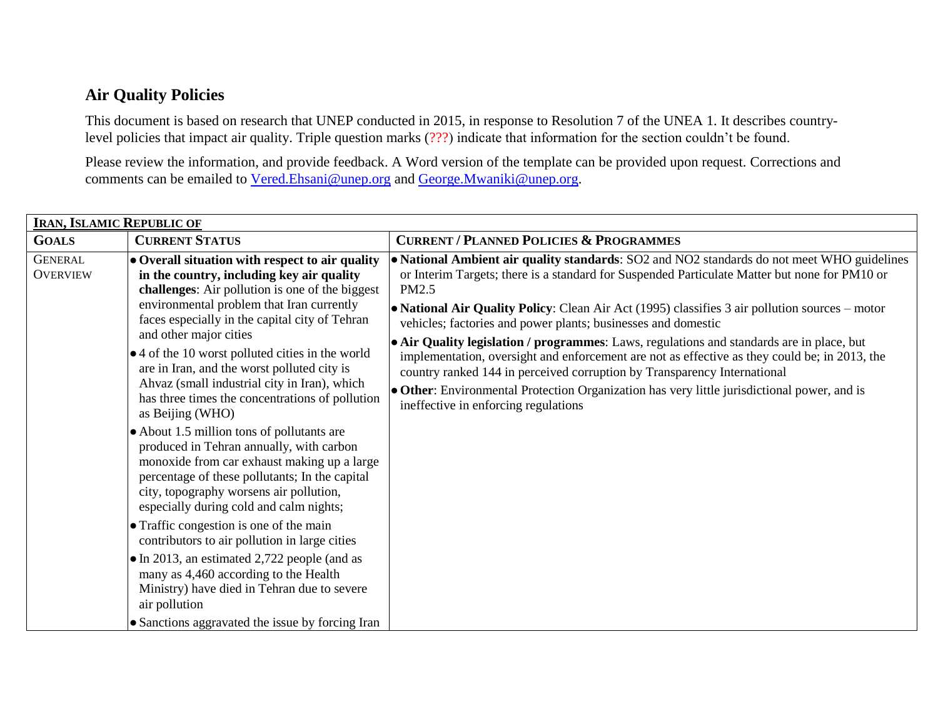## **Air Quality Policies**

This document is based on research that UNEP conducted in 2015, in response to Resolution 7 of the UNEA 1. It describes countrylevel policies that impact air quality. Triple question marks (???) indicate that information for the section couldn't be found.

Please review the information, and provide feedback. A Word version of the template can be provided upon request. Corrections and comments can be emailed to [Vered.Ehsani@unep.org](mailto:Vered.Ehsani@unep.org) and [George.Mwaniki@unep.org.](mailto:George.Mwaniki@unep.org)

| <b>IRAN, ISLAMIC REPUBLIC OF</b>  |                                                                                                                                                                                                                                                                               |                                                                                                                                                                                                                                                                                                                                                                                                               |  |  |
|-----------------------------------|-------------------------------------------------------------------------------------------------------------------------------------------------------------------------------------------------------------------------------------------------------------------------------|---------------------------------------------------------------------------------------------------------------------------------------------------------------------------------------------------------------------------------------------------------------------------------------------------------------------------------------------------------------------------------------------------------------|--|--|
| <b>GOALS</b>                      | <b>CURRENT STATUS</b>                                                                                                                                                                                                                                                         | <b>CURRENT / PLANNED POLICIES &amp; PROGRAMMES</b>                                                                                                                                                                                                                                                                                                                                                            |  |  |
| <b>GENERAL</b><br><b>OVERVIEW</b> | • Overall situation with respect to air quality<br>in the country, including key air quality<br>challenges: Air pollution is one of the biggest<br>environmental problem that Iran currently<br>faces especially in the capital city of Tehran                                | • National Ambient air quality standards: SO2 and NO2 standards do not meet WHO guidelines<br>or Interim Targets; there is a standard for Suspended Particulate Matter but none for PM10 or<br>PM2.5<br>• National Air Quality Policy: Clean Air Act (1995) classifies 3 air pollution sources – motor<br>vehicles; factories and power plants; businesses and domestic                                       |  |  |
|                                   | and other major cities<br>• 4 of the 10 worst polluted cities in the world<br>are in Iran, and the worst polluted city is<br>Ahvaz (small industrial city in Iran), which<br>has three times the concentrations of pollution<br>as Beijing (WHO)                              | • Air Quality legislation / programmes: Laws, regulations and standards are in place, but<br>implementation, oversight and enforcement are not as effective as they could be; in 2013, the<br>country ranked 144 in perceived corruption by Transparency International<br>• Other: Environmental Protection Organization has very little jurisdictional power, and is<br>ineffective in enforcing regulations |  |  |
|                                   | • About 1.5 million tons of pollutants are<br>produced in Tehran annually, with carbon<br>monoxide from car exhaust making up a large<br>percentage of these pollutants; In the capital<br>city, topography worsens air pollution,<br>especially during cold and calm nights; |                                                                                                                                                                                                                                                                                                                                                                                                               |  |  |
|                                   | • Traffic congestion is one of the main<br>contributors to air pollution in large cities                                                                                                                                                                                      |                                                                                                                                                                                                                                                                                                                                                                                                               |  |  |
|                                   | • In 2013, an estimated 2,722 people (and as<br>many as 4,460 according to the Health<br>Ministry) have died in Tehran due to severe<br>air pollution                                                                                                                         |                                                                                                                                                                                                                                                                                                                                                                                                               |  |  |
|                                   | • Sanctions aggravated the issue by forcing Iran                                                                                                                                                                                                                              |                                                                                                                                                                                                                                                                                                                                                                                                               |  |  |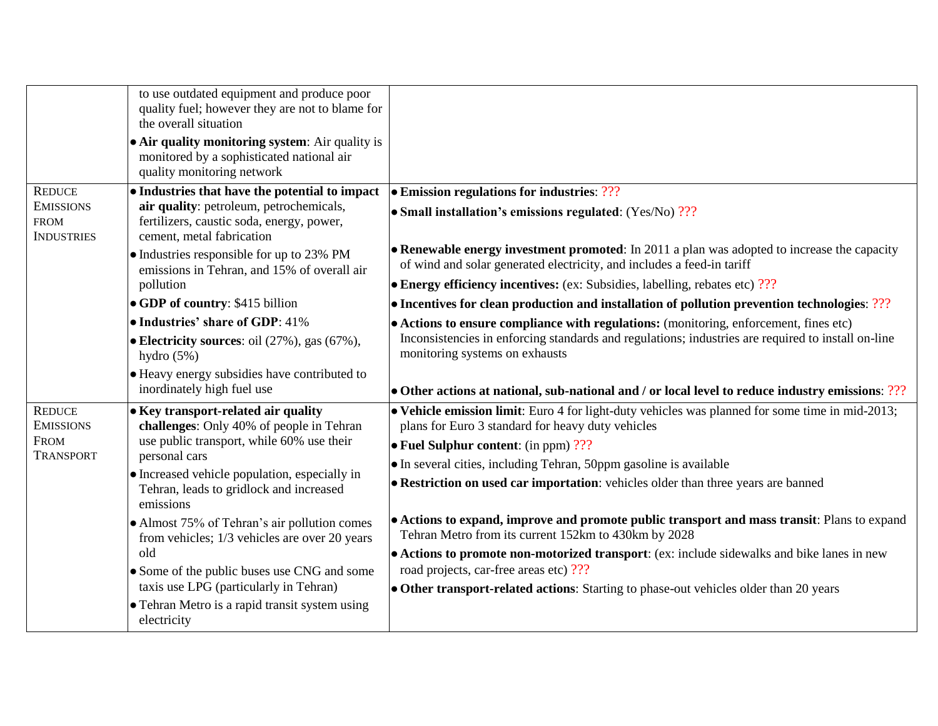|                                                      | to use outdated equipment and produce poor<br>quality fuel; however they are not to blame for<br>the overall situation<br>• Air quality monitoring system: Air quality is<br>monitored by a sophisticated national air<br>quality monitoring network |                                                                                                                                                                       |
|------------------------------------------------------|------------------------------------------------------------------------------------------------------------------------------------------------------------------------------------------------------------------------------------------------------|-----------------------------------------------------------------------------------------------------------------------------------------------------------------------|
| <b>REDUCE</b>                                        | • Industries that have the potential to impact                                                                                                                                                                                                       | $\bullet$ Emission regulations for industries: ???                                                                                                                    |
| <b>EMISSIONS</b><br><b>FROM</b><br><b>INDUSTRIES</b> | air quality: petroleum, petrochemicals,<br>fertilizers, caustic soda, energy, power,<br>cement, metal fabrication                                                                                                                                    | • Small installation's emissions regulated: $(Yes/No)$ ???                                                                                                            |
|                                                      | • Industries responsible for up to 23% PM<br>emissions in Tehran, and 15% of overall air<br>pollution                                                                                                                                                | • Renewable energy investment promoted: In 2011 a plan was adopted to increase the capacity<br>of wind and solar generated electricity, and includes a feed-in tariff |
|                                                      |                                                                                                                                                                                                                                                      | $\bullet$ Energy efficiency incentives: (ex: Subsidies, labelling, rebates etc) ???                                                                                   |
|                                                      | • GDP of country: \$415 billion                                                                                                                                                                                                                      | $\bullet$ Incentives for clean production and installation of pollution prevention technologies: ???                                                                  |
|                                                      | • Industries' share of GDP: 41%                                                                                                                                                                                                                      | • Actions to ensure compliance with regulations: (monitoring, enforcement, fines etc)                                                                                 |
|                                                      | • Electricity sources: oil $(27\%)$ , gas $(67\%)$ ,<br>hydro $(5%)$                                                                                                                                                                                 | Inconsistencies in enforcing standards and regulations; industries are required to install on-line<br>monitoring systems on exhausts                                  |
|                                                      | • Heavy energy subsidies have contributed to<br>inordinately high fuel use                                                                                                                                                                           | $\bullet$ Other actions at national, sub-national and / or local level to reduce industry emissions: ???                                                              |
| <b>REDUCE</b><br><b>EMISSIONS</b>                    | • Key transport-related air quality<br>challenges: Only 40% of people in Tehran<br>use public transport, while 60% use their<br>personal cars<br>• Increased vehicle population, especially in                                                       | $\bullet$ Vehicle emission limit: Euro 4 for light-duty vehicles was planned for some time in mid-2013;<br>plans for Euro 3 standard for heavy duty vehicles          |
| <b>FROM</b><br><b>TRANSPORT</b>                      |                                                                                                                                                                                                                                                      | $\bullet$ Fuel Sulphur content: (in ppm) ???                                                                                                                          |
|                                                      |                                                                                                                                                                                                                                                      | • In several cities, including Tehran, 50ppm gasoline is available                                                                                                    |
|                                                      | Tehran, leads to gridlock and increased<br>emissions                                                                                                                                                                                                 | • Restriction on used car importation: vehicles older than three years are banned                                                                                     |
|                                                      | • Almost 75% of Tehran's air pollution comes<br>from vehicles; 1/3 vehicles are over 20 years                                                                                                                                                        | • Actions to expand, improve and promote public transport and mass transit: Plans to expand<br>Tehran Metro from its current 152km to 430km by 2028                   |
|                                                      | old                                                                                                                                                                                                                                                  | • Actions to promote non-motorized transport: (ex: include sidewalks and bike lanes in new                                                                            |
|                                                      | • Some of the public buses use CNG and some<br>taxis use LPG (particularly in Tehran)                                                                                                                                                                | road projects, car-free areas etc) ???                                                                                                                                |
|                                                      | • Tehran Metro is a rapid transit system using                                                                                                                                                                                                       | • Other transport-related actions: Starting to phase-out vehicles older than 20 years                                                                                 |
|                                                      | electricity                                                                                                                                                                                                                                          |                                                                                                                                                                       |